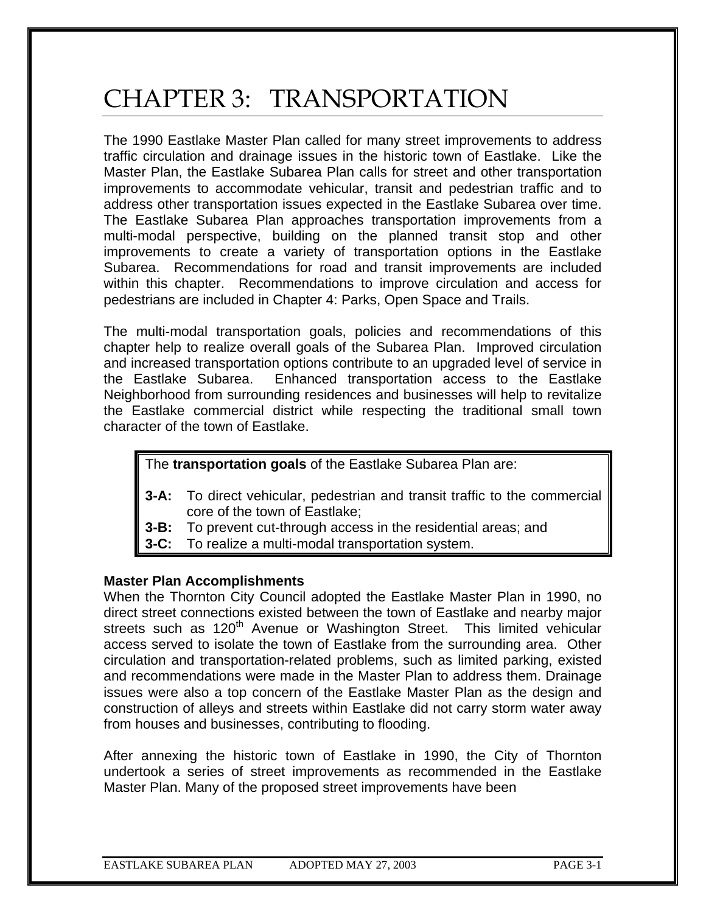# CHAPTER 3: TRANSPORTATION

The 1990 Eastlake Master Plan called for many street improvements to address traffic circulation and drainage issues in the historic town of Eastlake. Like the Master Plan, the Eastlake Subarea Plan calls for street and other transportation improvements to accommodate vehicular, transit and pedestrian traffic and to address other transportation issues expected in the Eastlake Subarea over time. The Eastlake Subarea Plan approaches transportation improvements from a multi-modal perspective, building on the planned transit stop and other improvements to create a variety of transportation options in the Eastlake Subarea. Recommendations for road and transit improvements are included within this chapter. Recommendations to improve circulation and access for pedestrians are included in Chapter 4: Parks, Open Space and Trails.

The multi-modal transportation goals, policies and recommendations of this chapter help to realize overall goals of the Subarea Plan. Improved circulation and increased transportation options contribute to an upgraded level of service in the Eastlake Subarea. Enhanced transportation access to the Eastlake Neighborhood from surrounding residences and businesses will help to revitalize the Eastlake commercial district while respecting the traditional small town character of the town of Eastlake.

The **transportation goals** of the Eastlake Subarea Plan are:

- **3-A:** To direct vehicular, pedestrian and transit traffic to the commercial core of the town of Eastlake;
- **3-B:** To prevent cut-through access in the residential areas; and
- **3-C:** To realize a multi-modal transportation system.

#### **Master Plan Accomplishments**

When the Thornton City Council adopted the Eastlake Master Plan in 1990, no direct street connections existed between the town of Eastlake and nearby major streets such as 120<sup>th</sup> Avenue or Washington Street. This limited vehicular access served to isolate the town of Eastlake from the surrounding area. Other circulation and transportation-related problems, such as limited parking, existed and recommendations were made in the Master Plan to address them. Drainage issues were also a top concern of the Eastlake Master Plan as the design and construction of alleys and streets within Eastlake did not carry storm water away from houses and businesses, contributing to flooding.

After annexing the historic town of Eastlake in 1990, the City of Thornton undertook a series of street improvements as recommended in the Eastlake Master Plan. Many of the proposed street improvements have been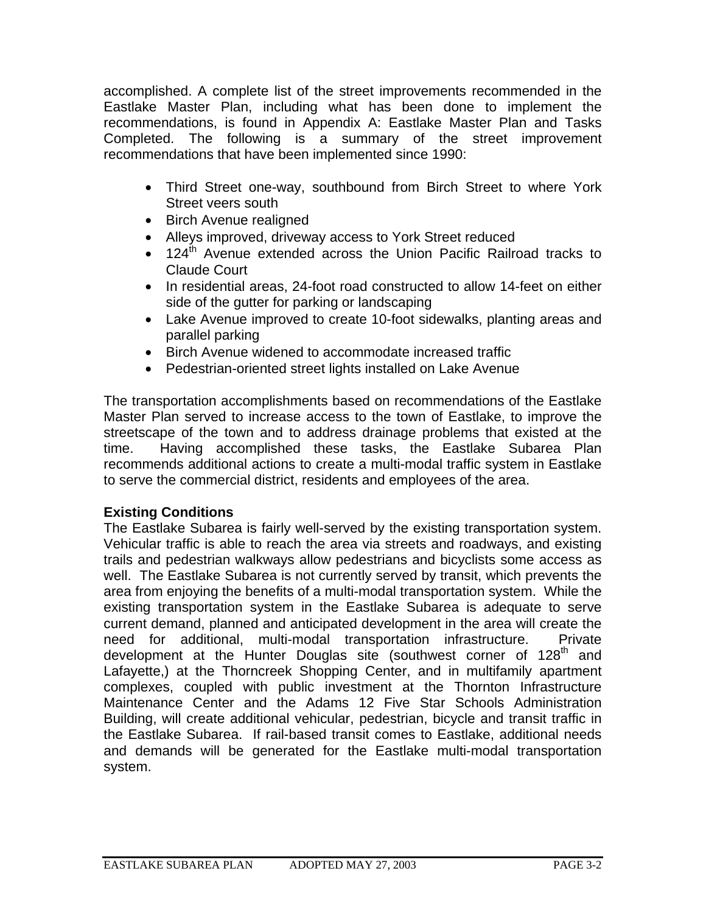accomplished. A complete list of the street improvements recommended in the Eastlake Master Plan, including what has been done to implement the recommendations, is found in Appendix A: Eastlake Master Plan and Tasks Completed. The following is a summary of the street improvement recommendations that have been implemented since 1990:

- Third Street one-way, southbound from Birch Street to where York Street veers south
- Birch Avenue realigned
- Alleys improved, driveway access to York Street reduced
- $\bullet$  124<sup>th</sup> Avenue extended across the Union Pacific Railroad tracks to Claude Court
- In residential areas, 24-foot road constructed to allow 14-feet on either side of the gutter for parking or landscaping
- Lake Avenue improved to create 10-foot sidewalks, planting areas and parallel parking
- Birch Avenue widened to accommodate increased traffic
- Pedestrian-oriented street lights installed on Lake Avenue

The transportation accomplishments based on recommendations of the Eastlake Master Plan served to increase access to the town of Eastlake, to improve the streetscape of the town and to address drainage problems that existed at the time. Having accomplished these tasks, the Eastlake Subarea Plan recommends additional actions to create a multi-modal traffic system in Eastlake to serve the commercial district, residents and employees of the area.

## **Existing Conditions**

The Eastlake Subarea is fairly well-served by the existing transportation system. Vehicular traffic is able to reach the area via streets and roadways, and existing trails and pedestrian walkways allow pedestrians and bicyclists some access as well. The Eastlake Subarea is not currently served by transit, which prevents the area from enjoying the benefits of a multi-modal transportation system. While the existing transportation system in the Eastlake Subarea is adequate to serve current demand, planned and anticipated development in the area will create the need for additional, multi-modal transportation infrastructure. Private development at the Hunter Douglas site (southwest corner of 128<sup>th</sup> and Lafayette,) at the Thorncreek Shopping Center, and in multifamily apartment complexes, coupled with public investment at the Thornton Infrastructure Maintenance Center and the Adams 12 Five Star Schools Administration Building, will create additional vehicular, pedestrian, bicycle and transit traffic in the Eastlake Subarea. If rail-based transit comes to Eastlake, additional needs and demands will be generated for the Eastlake multi-modal transportation system.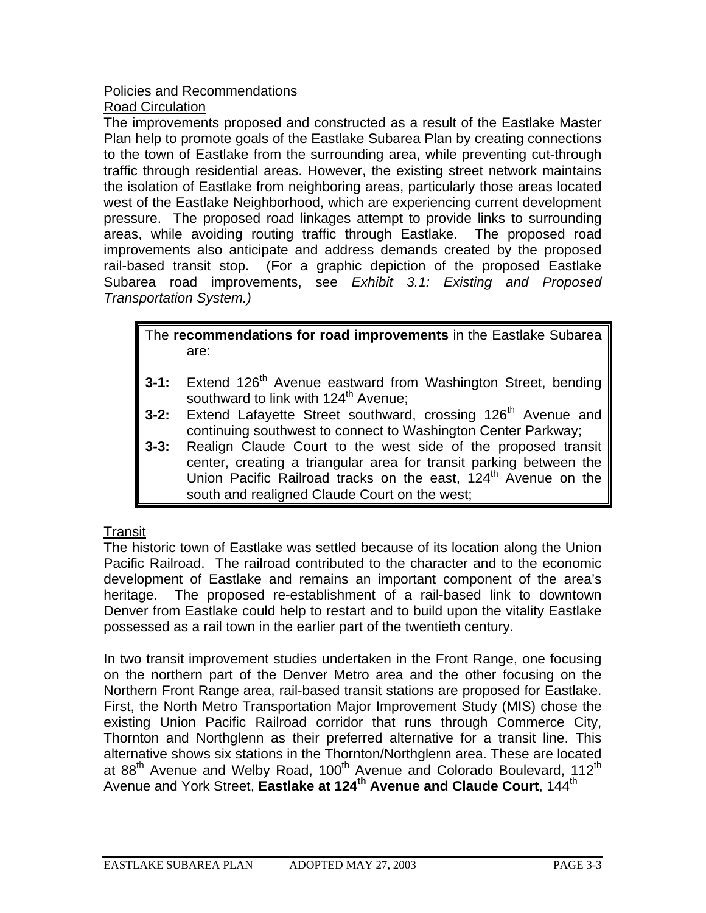#### Policies and Recommendations Road Circulation

The improvements proposed and constructed as a result of the Eastlake Master Plan help to promote goals of the Eastlake Subarea Plan by creating connections to the town of Eastlake from the surrounding area, while preventing cut-through traffic through residential areas. However, the existing street network maintains the isolation of Eastlake from neighboring areas, particularly those areas located west of the Eastlake Neighborhood, which are experiencing current development pressure. The proposed road linkages attempt to provide links to surrounding areas, while avoiding routing traffic through Eastlake. The proposed road improvements also anticipate and address demands created by the proposed rail-based transit stop. (For a graphic depiction of the proposed Eastlake Subarea road improvements, see *Exhibit 3.1: Existing and Proposed Transportation System.)*

#### The **recommendations for road improvements** in the Eastlake Subarea are:

- **3-1:** Extend 126<sup>th</sup> Avenue eastward from Washington Street, bending southward to link with  $124<sup>th</sup>$  Avenue;
- **3-2:** Extend Lafayette Street southward, crossing 126<sup>th</sup> Avenue and continuing southwest to connect to Washington Center Parkway;
- **3-3:** Realign Claude Court to the west side of the proposed transit center, creating a triangular area for transit parking between the Union Pacific Railroad tracks on the east, 124<sup>th</sup> Avenue on the south and realigned Claude Court on the west;

## Transit

The historic town of Eastlake was settled because of its location along the Union Pacific Railroad. The railroad contributed to the character and to the economic development of Eastlake and remains an important component of the area's heritage. The proposed re-establishment of a rail-based link to downtown Denver from Eastlake could help to restart and to build upon the vitality Eastlake possessed as a rail town in the earlier part of the twentieth century.

In two transit improvement studies undertaken in the Front Range, one focusing on the northern part of the Denver Metro area and the other focusing on the Northern Front Range area, rail-based transit stations are proposed for Eastlake. First, the North Metro Transportation Major Improvement Study (MIS) chose the existing Union Pacific Railroad corridor that runs through Commerce City, Thornton and Northglenn as their preferred alternative for a transit line. This alternative shows six stations in the Thornton/Northglenn area. These are located at 88<sup>th</sup> Avenue and Welby Road, 100<sup>th</sup> Avenue and Colorado Boulevard, 112<sup>th</sup> Avenue and York Street, Eastlake at 124<sup>th</sup> Avenue and Claude Court, 144<sup>th</sup>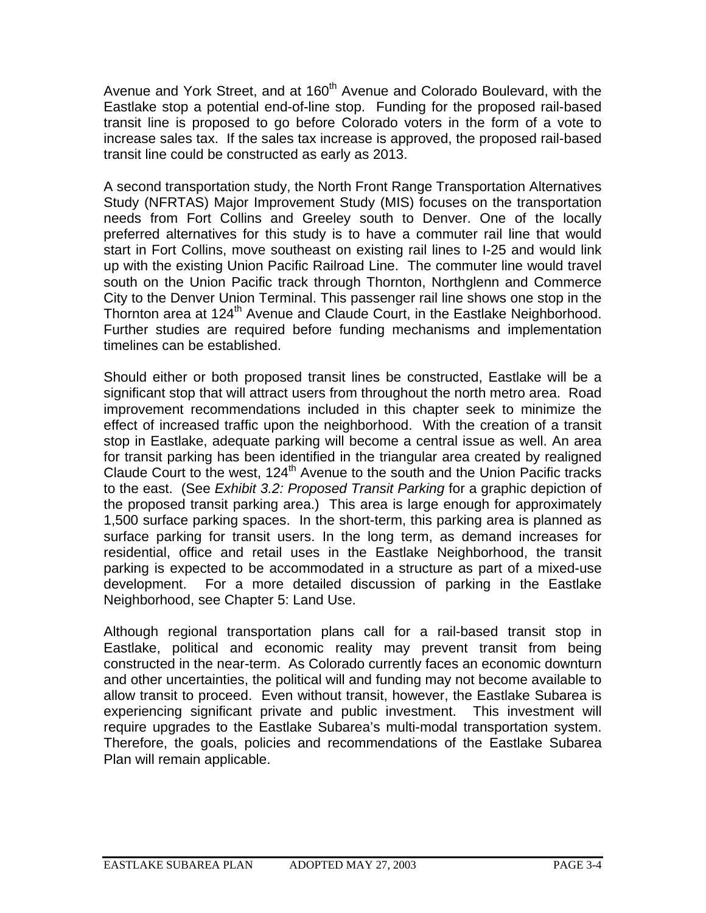Avenue and York Street, and at 160<sup>th</sup> Avenue and Colorado Boulevard, with the Eastlake stop a potential end-of-line stop. Funding for the proposed rail-based transit line is proposed to go before Colorado voters in the form of a vote to increase sales tax. If the sales tax increase is approved, the proposed rail-based transit line could be constructed as early as 2013.

A second transportation study, the North Front Range Transportation Alternatives Study (NFRTAS) Major Improvement Study (MIS) focuses on the transportation needs from Fort Collins and Greeley south to Denver. One of the locally preferred alternatives for this study is to have a commuter rail line that would start in Fort Collins, move southeast on existing rail lines to I-25 and would link up with the existing Union Pacific Railroad Line. The commuter line would travel south on the Union Pacific track through Thornton, Northglenn and Commerce City to the Denver Union Terminal. This passenger rail line shows one stop in the Thornton area at 124<sup>th</sup> Avenue and Claude Court, in the Eastlake Neighborhood. Further studies are required before funding mechanisms and implementation timelines can be established.

Should either or both proposed transit lines be constructed, Eastlake will be a significant stop that will attract users from throughout the north metro area. Road improvement recommendations included in this chapter seek to minimize the effect of increased traffic upon the neighborhood. With the creation of a transit stop in Eastlake, adequate parking will become a central issue as well. An area for transit parking has been identified in the triangular area created by realigned Claude Court to the west, 124<sup>th</sup> Avenue to the south and the Union Pacific tracks to the east. (See *Exhibit 3.2: Proposed Transit Parking* for a graphic depiction of the proposed transit parking area.) This area is large enough for approximately 1,500 surface parking spaces. In the short-term, this parking area is planned as surface parking for transit users. In the long term, as demand increases for residential, office and retail uses in the Eastlake Neighborhood, the transit parking is expected to be accommodated in a structure as part of a mixed-use development. For a more detailed discussion of parking in the Eastlake Neighborhood, see Chapter 5: Land Use.

Although regional transportation plans call for a rail-based transit stop in Eastlake, political and economic reality may prevent transit from being constructed in the near-term. As Colorado currently faces an economic downturn and other uncertainties, the political will and funding may not become available to allow transit to proceed. Even without transit, however, the Eastlake Subarea is experiencing significant private and public investment. This investment will require upgrades to the Eastlake Subarea's multi-modal transportation system. Therefore, the goals, policies and recommendations of the Eastlake Subarea Plan will remain applicable.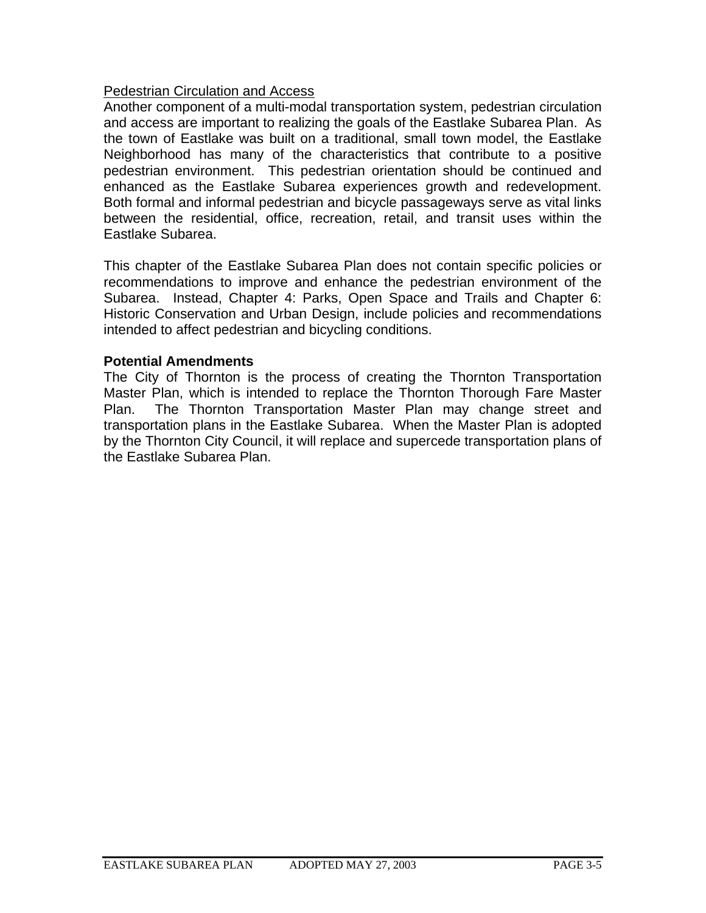### Pedestrian Circulation and Access

Another component of a multi-modal transportation system, pedestrian circulation and access are important to realizing the goals of the Eastlake Subarea Plan. As the town of Eastlake was built on a traditional, small town model, the Eastlake Neighborhood has many of the characteristics that contribute to a positive pedestrian environment. This pedestrian orientation should be continued and enhanced as the Eastlake Subarea experiences growth and redevelopment. Both formal and informal pedestrian and bicycle passageways serve as vital links between the residential, office, recreation, retail, and transit uses within the Eastlake Subarea.

This chapter of the Eastlake Subarea Plan does not contain specific policies or recommendations to improve and enhance the pedestrian environment of the Subarea. Instead, Chapter 4: Parks, Open Space and Trails and Chapter 6: Historic Conservation and Urban Design, include policies and recommendations intended to affect pedestrian and bicycling conditions.

#### **Potential Amendments**

The City of Thornton is the process of creating the Thornton Transportation Master Plan, which is intended to replace the Thornton Thorough Fare Master Plan. The Thornton Transportation Master Plan may change street and transportation plans in the Eastlake Subarea. When the Master Plan is adopted by the Thornton City Council, it will replace and supercede transportation plans of the Eastlake Subarea Plan.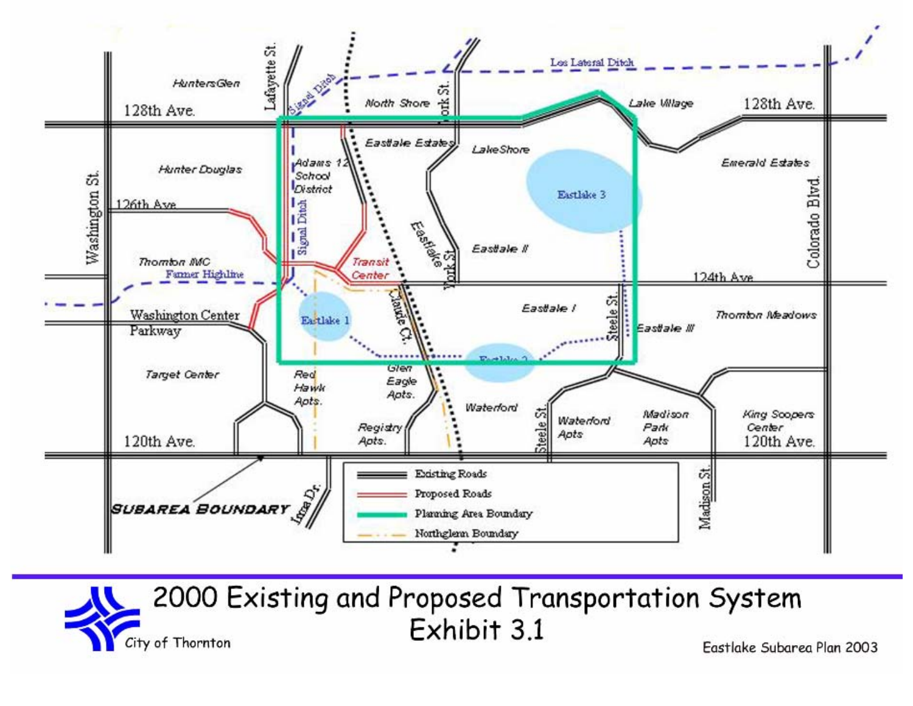

2000 Existing and Proposed Transportation System Exhibit 3.1 City of Thornton

Eastlake Subarea Plan 2003